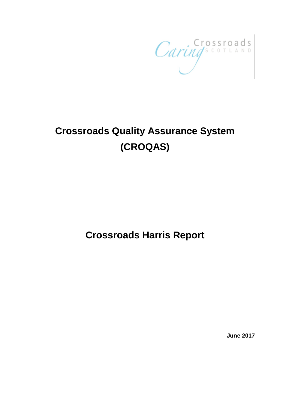CaringsContAND

# **Crossroads Quality Assurance System (CROQAS)**

## **Crossroads Harris Report**

**June 2017**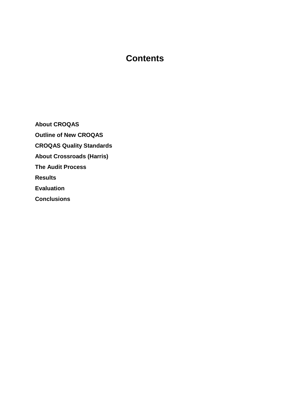### **Contents**

**About CROQAS Outline of New CROQAS CROQAS Quality Standards About Crossroads (Harris) The Audit Process Results Evaluation Conclusions**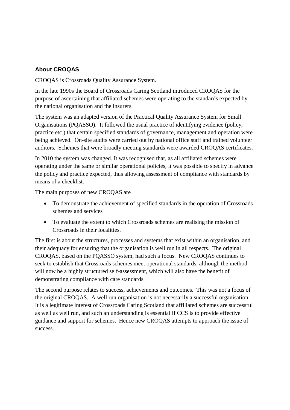#### **About CROQAS**

CROQAS is Crossroads Quality Assurance System.

In the late 1990s the Board of Crossroads Caring Scotland introduced CROQAS for the purpose of ascertaining that affiliated schemes were operating to the standards expected by the national organisation and the insurers.

The system was an adapted version of the Practical Quality Assurance System for Small Organisations (PQASSO). It followed the usual practice of identifying evidence (policy, practice etc.) that certain specified standards of governance, management and operation were being achieved. On-site audits were carried out by national office staff and trained volunteer auditors. Schemes that were broadly meeting standards were awarded CROQAS certificates.

In 2010 the system was changed. It was recognised that, as all affiliated schemes were operating under the same or similar operational policies, it was possible to specify in advance the policy and practice expected, thus allowing assessment of compliance with standards by means of a checklist.

The main purposes of new CROQAS are

- To demonstrate the achievement of specified standards in the operation of Crossroads schemes and services
- To evaluate the extent to which Crossroads schemes are realising the mission of Crossroads in their localities.

The first is about the structures, processes and systems that exist within an organisation, and their adequacy for ensuring that the organisation is well run in all respects. The original CROQAS, based on the PQASSO system, had such a focus. New CROQAS continues to seek to establish that Crossroads schemes meet operational standards, although the method will now be a highly structured self-assessment, which will also have the benefit of demonstrating compliance with care standards.

The second purpose relates to success, achievements and outcomes. This was not a focus of the original CROQAS. A well run organisation is not necessarily a successful organisation. It is a legitimate interest of Crossroads Caring Scotland that affiliated schemes are successful as well as well run, and such an understanding is essential if CCS is to provide effective guidance and support for schemes. Hence new CROQAS attempts to approach the issue of success.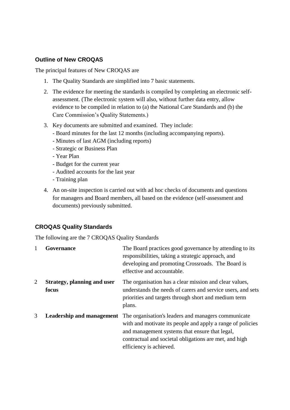#### **Outline of New CROQAS**

The principal features of New CROQAS are

- 1. The Quality Standards are simplified into 7 basic statements.
- 2. The evidence for meeting the standards is compiled by completing an electronic selfassessment. (The electronic system will also, without further data entry, allow evidence to be compiled in relation to (a) the National Care Standards and (b) the Care Commission's Quality Statements.)
- 3. Key documents are submitted and examined. They include:
	- Board minutes for the last 12 months (including accompanying reports).
	- Minutes of last AGM (including reports)
	- Strategic or Business Plan
	- Year Plan
	- Budget for the current year
	- Audited accounts for the last year
	- Training plan
- 4. An on-site inspection is carried out with ad hoc checks of documents and questions for managers and Board members, all based on the evidence (self-assessment and documents) previously submitted.

#### **CROQAS Quality Standards**

The following are the 7 CROQAS Quality Standards

|   | Governance                                  | The Board practices good governance by attending to its<br>responsibilities, taking a strategic approach, and<br>developing and promoting Crossroads. The Board is<br>effective and accountable.                                                         |
|---|---------------------------------------------|----------------------------------------------------------------------------------------------------------------------------------------------------------------------------------------------------------------------------------------------------------|
| 2 | <b>Strategy, planning and user</b><br>focus | The organisation has a clear mission and clear values,<br>understands the needs of carers and service users, and sets<br>priorities and targets through short and medium term<br>plans.                                                                  |
| 3 | Leadership and management                   | The organisation's leaders and managers communicate<br>with and motivate its people and apply a range of policies<br>and management systems that ensure that legal,<br>contractual and societal obligations are met, and high<br>efficiency is achieved. |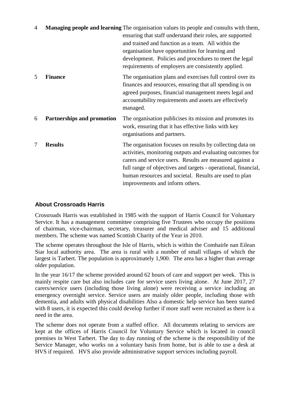| 4 |                            | Managing people and learning The organisation values its people and consults with them,<br>ensuring that staff understand their roles, are supported<br>and trained and function as a team. All within the<br>organisation have opportunities for learning and<br>development. Policies and procedures to meet the legal<br>requirements of employers are consistently applied. |
|---|----------------------------|---------------------------------------------------------------------------------------------------------------------------------------------------------------------------------------------------------------------------------------------------------------------------------------------------------------------------------------------------------------------------------|
| 5 | <b>Finance</b>             | The organisation plans and exercises full control over its<br>finances and resources, ensuring that all spending is on<br>agreed purposes, financial management meets legal and<br>accountability requirements and assets are effectively<br>managed.                                                                                                                           |
| 6 | Partnerships and promotion | The organisation publicises its mission and promotes its<br>work, ensuring that it has effective links with key<br>organisations and partners.                                                                                                                                                                                                                                  |
| 7 | <b>Results</b>             | The organisation focuses on results by collecting data on<br>activities, monitoring outputs and evaluating outcomes for<br>carers and service users. Results are measured against a<br>full range of objectives and targets - operational, financial,<br>human resources and societal. Results are used to plan<br>improvements and inform others.                              |

#### **About Crossroads Harris**

Crossroads Harris was established in 1985 with the support of Harris Council for Voluntary Service. It has a management committee comprising five Trustees who occupy the positions of chairman, vice-chairman, secretary, treasurer and medical adviser and 15 additional members. The scheme was named Scottish Charity of the Year in 2010.

The scheme operates throughout the Isle of Harris, which is within the Comhairle nan Eilean Siar local authority area. The area is rural with a number of small villages of which the largest is Tarbert. The population is approximately 1,900. The area has a higher than average older population.

In the year 16/17 the scheme provided around 62 hours of care and support per week. This is mainly respite care but also includes care for service users living alone. At June 2017, 27 carers/service users (including those living alone) were receiving a service including an emergency overnight service. Service users are mainly older people, including those with dementia, and adults with physical disabilities Also a domestic help service has been started with 8 users, it is expected this could develop further if more staff were recruited as there is a need in the area.

The scheme does not operate from a staffed office. All documents relating to services are kept at the offices of Harris Council for Voluntary Service which is located in council premises in West Tarbert. The day to day running of the scheme is the responsibility of the Service Manager, who works on a voluntary basis from home, but is able to use a desk at HVS if required. HVS also provide administrative support services including payroll.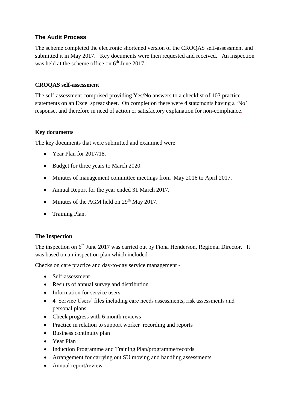#### **The Audit Process**

The scheme completed the electronic shortened version of the CROQAS self-assessment and submitted it in May 2017. Key documents were then requested and received. An inspection was held at the scheme office on 6<sup>th</sup> June 2017.

#### **CROQAS self-assessment**

The self-assessment comprised providing Yes/No answers to a checklist of 103 practice statements on an Excel spreadsheet. On completion there were 4 statements having a 'No' response, and therefore in need of action or satisfactory explanation for non-compliance.

#### **Key documents**

The key documents that were submitted and examined were

- Year Plan for 2017/18.
- Budget for three years to March 2020.
- Minutes of management committee meetings from May 2016 to April 2017.
- Annual Report for the year ended 31 March 2017.
- Minutes of the AGM held on  $29<sup>th</sup>$  May 2017.
- Training Plan.

#### **The Inspection**

The inspection on 6<sup>th</sup> June 2017 was carried out by Fiona Henderson, Regional Director. It was based on an inspection plan which included

Checks on care practice and day-to-day service management -

- Self-assessment
- Results of annual survey and distribution
- Information for service users
- 4 Service Users' files including care needs assessments, risk assessments and personal plans
- Check progress with 6 month reviews
- Practice in relation to support worker recording and reports
- Business continuity plan
- Year Plan
- Induction Programme and Training Plan/programme/records
- Arrangement for carrying out SU moving and handling assessments
- Annual report/review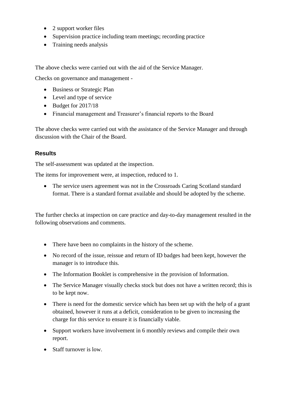- 2 support worker files
- Supervision practice including team meetings; recording practice
- Training needs analysis

The above checks were carried out with the aid of the Service Manager.

Checks on governance and management -

- Business or Strategic Plan
- Level and type of service
- Budget for 2017/18
- Financial management and Treasurer's financial reports to the Board

The above checks were carried out with the assistance of the Service Manager and through discussion with the Chair of the Board.

#### **Results**

The self-assessment was updated at the inspection.

The items for improvement were, at inspection, reduced to 1.

• The service users agreement was not in the Crossroads Caring Scotland standard format. There is a standard format available and should be adopted by the scheme.

The further checks at inspection on care practice and day-to-day management resulted in the following observations and comments.

- There have been no complaints in the history of the scheme.
- No record of the issue, reissue and return of ID badges had been kept, however the manager is to introduce this.
- The Information Booklet is comprehensive in the provision of Information.
- The Service Manager visually checks stock but does not have a written record; this is to be kept now.
- There is need for the domestic service which has been set up with the help of a grant obtained, however it runs at a deficit, consideration to be given to increasing the charge for this service to ensure it is financially viable.
- Support workers have involvement in 6 monthly reviews and compile their own report.
- Staff turnover is low.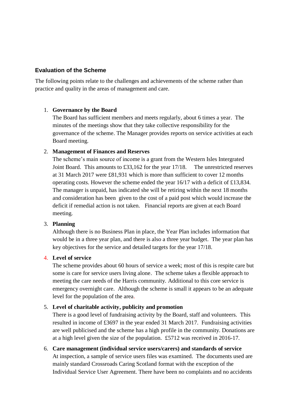#### **Evaluation of the Scheme**

The following points relate to the challenges and achievements of the scheme rather than practice and quality in the areas of management and care.

#### 1. **Governance by the Board**

The Board has sufficient members and meets regularly, about 6 times a year. The minutes of the meetings show that they take collective responsibility for the governance of the scheme. The Manager provides reports on service activities at each Board meeting.

#### 2. **Management of Finances and Reserves**

The scheme's main source of income is a grant from the Western Isles Intergrated Joint Board. This amounts to £33,162 for the year 17/18. The unrestricted reserves at 31 March 2017 were £81,931 which is more than sufficient to cover 12 months operating costs. However the scheme ended the year 16/17 with a deficit of £13,834. The manager is unpaid, has indicated she will be retiring within the next 18 months and consideration has been given to the cost of a paid post which would increase the deficit if remedial action is not taken. Financial reports are given at each Board meeting.

#### 3. **Planning**

Although there is no Business Plan in place, the Year Plan includes information that would be in a three year plan, and there is also a three year budget. The year plan has key objectives for the service and detailed targets for the year 17/18.

#### 4. **Level of service**

The scheme provides about 60 hours of service a week; most of this is respite care but some is care for service users living alone. The scheme takes a flexible approach to meeting the care needs of the Harris community. Additional to this core service is emergency overnight care. Although the scheme is small it appears to be an adequate level for the population of the area.

#### 5. **Level of charitable activity, publicity and promotion**

There is a good level of fundraising activity by the Board, staff and volunteers. This resulted in income of £3697 in the year ended 31 March 2017. Fundraising activities are well publicised and the scheme has a high profile in the community. Donations are at a high level given the size of the population. £5712 was received in 2016-17.

6. **Care management (individual service users/carers) and standards of service** At inspection, a sample of service users files was examined. The documents used are mainly standard Crossroads Caring Scotland format with the exception of the Individual Service User Agreement. There have been no complaints and no accidents